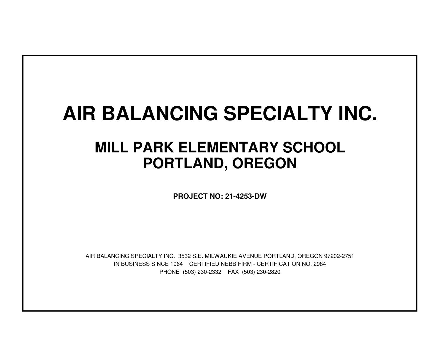## **AIR BALANCING SPECIALTY INC.**

## **MILL PARK ELEMENTARY SCHOOLPORTLAND, OREGON**

**PROJECT NO: 21-4253-DW**

IN BUSINESS SINCE 1964 CERTIFIED NEBB FIRM - CERTIFICATION NO. 2984PHONE (503) 230-2332 FAX (503) 230-2820AIR BALANCING SPECIALTY INC. 3532 S.E. MILWAUKIE AVENUE PORTLAND, OREGON 97202-2751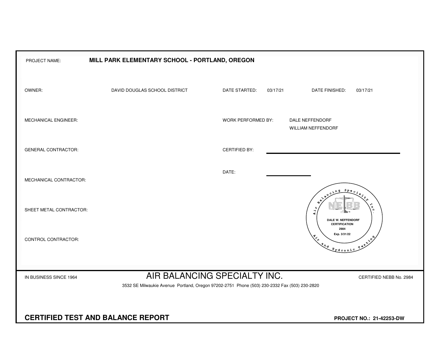| PROJECT NAME:                            | MILL PARK ELEMENTARY SCHOOL - PORTLAND, OREGON                                                                                                          |                           |                                                                                                                                                                                                                                                                                                                                                                                                                             |
|------------------------------------------|---------------------------------------------------------------------------------------------------------------------------------------------------------|---------------------------|-----------------------------------------------------------------------------------------------------------------------------------------------------------------------------------------------------------------------------------------------------------------------------------------------------------------------------------------------------------------------------------------------------------------------------|
| OWNER:                                   | DAVID DOUGLAS SCHOOL DISTRICT                                                                                                                           | DATE STARTED:<br>03/17/21 | DATE FINISHED:<br>03/17/21                                                                                                                                                                                                                                                                                                                                                                                                  |
| MECHANICAL ENGINEER:                     |                                                                                                                                                         | WORK PERFORMED BY:        | DALE NEFFENDORF<br>WILLIAM NEFFENDORF                                                                                                                                                                                                                                                                                                                                                                                       |
| <b>GENERAL CONTRACTOR:</b>               |                                                                                                                                                         | <b>CERTIFIED BY:</b>      |                                                                                                                                                                                                                                                                                                                                                                                                                             |
| MECHANICAL CONTRACTOR:                   |                                                                                                                                                         | DATE:                     |                                                                                                                                                                                                                                                                                                                                                                                                                             |
| SHEET METAL CONTRACTOR:                  |                                                                                                                                                         |                           | Spe<br>م<br>م<br>$\overline{A}$ $\overline{A}$<br>DALE W. NEFFENDORF<br><b>CERTIFICATION</b>                                                                                                                                                                                                                                                                                                                                |
| CONTROL CONTRACTOR:                      |                                                                                                                                                         |                           | 2984<br>Exp. 3/31/22<br>$x^{\lambda^{\Phi}}$<br>$\begin{picture}(180,10) \put(0,0){\vector(1,0){10}} \put(15,0){\vector(1,0){10}} \put(15,0){\vector(1,0){10}} \put(15,0){\vector(1,0){10}} \put(15,0){\vector(1,0){10}} \put(15,0){\vector(1,0){10}} \put(15,0){\vector(1,0){10}} \put(15,0){\vector(1,0){10}} \put(15,0){\vector(1,0){10}} \put(15,0){\vector(1,0){10}} \put(15,0){\vector(1,0){10}} \put(15,0){\vector($ |
| IN BUSINESS SINCE 1964                   | AIR BALANCING SPECIALTY INC.<br>CERTIFIED NEBB No. 2984<br>3532 SE Milwaukie Avenue Portland, Oregon 97202-2751 Phone (503) 230-2332 Fax (503) 230-2820 |                           |                                                                                                                                                                                                                                                                                                                                                                                                                             |
| <b>CERTIFIED TEST AND BALANCE REPORT</b> | PROJECT NO.: 21-42253-DW                                                                                                                                |                           |                                                                                                                                                                                                                                                                                                                                                                                                                             |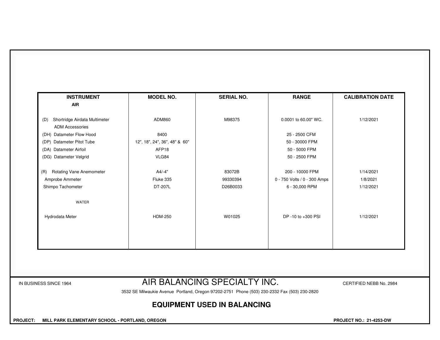| <b>INSTRUMENT</b>                                              | <b>MODEL NO.</b>              | <b>SERIAL NO.</b>            | <b>RANGE</b>                 | <b>CALIBRATION DATE</b> |
|----------------------------------------------------------------|-------------------------------|------------------------------|------------------------------|-------------------------|
| <b>AIR</b>                                                     |                               |                              |                              |                         |
| Shortridge Airdata Multimeter<br>(D)<br><b>ADM Accessories</b> | ADM860                        | M98375                       | 0.0001 to 60.00" WC.         | 1/12/2021               |
| (DH) Datameter Flow Hood                                       | 8400                          |                              | 25 - 2500 CFM                |                         |
| (DP) Datameter Pitot Tube                                      | 12", 18", 24", 36", 48" & 60" |                              | 50 - 30000 FPM               |                         |
| (DA) Datameter Airfoil                                         | AFP <sub>18</sub>             |                              | 50 - 5000 FPM                |                         |
| (DG) Datameter Velgrid                                         | VLG84                         |                              | 50 - 2500 FPM                |                         |
| <b>Rotating Vane Anemometer</b><br>(R)                         | $A4/-4"$                      | 83072B                       | 200 - 10000 FPM              | 1/14/2021               |
| Amprobe Ammeter                                                | Fluke 335                     | 99330394                     | 0 - 750 Volts / 0 - 300 Amps | 1/8/2021                |
| Shimpo Tachometer                                              | DT-207L                       | D26B0033                     | 6 - 30,000 RPM               | 1/12/2021               |
| WATER                                                          |                               |                              |                              |                         |
| Hydrodata Meter                                                | <b>HDM-250</b>                | W01025                       | DP -10 to +300 PSI           | 1/12/2021               |
|                                                                |                               |                              |                              |                         |
|                                                                |                               |                              |                              |                         |
|                                                                |                               |                              |                              |                         |
| IN BUSINESS SINCE 1964                                         |                               | AIR BALANCING SPECIALTY INC. |                              | CERTIFIED NEBB No. 2984 |

3532 SE Milwaukie Avenue Portland, Oregon 97202-2751 Phone (503) 230-2332 Fax (503) 230-2820

## **EQUIPMENT USED IN BALANCING**

 **PROJECT: MILL PARK ELEMENTARY SCHOOL - PORTLAND, OREGON** 

**PROJECT NO.: 21-4253-DW**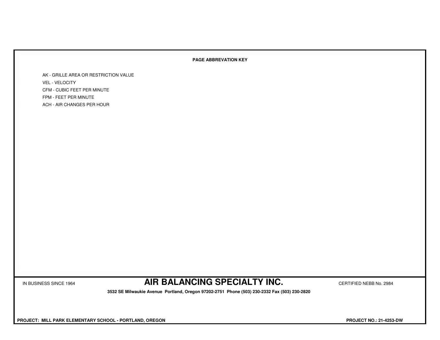## **PAGE ABBREVATION KEY**

AK - GRILLE AREA OR RESTRICTION VALUEVEL - VELOCITY CFM - CUBIC FEET PER MINUTEFPM - FEET PER MINUTEACH - AIR CHANGES PER HOUR

IN BUSINESS SINCE 1964 **AIR BALANCING SPECIALTY INC.** CERTIFIED NEBB No. 2984

 **3532 SE Milwaukie Avenue Portland, Oregon 97202-2751 Phone (503) 230-2332 Fax (503) 230-2820**

 **PROJECT: MILL PARK ELEMENTARY SCHOOL - PORTLAND, OREGON PROJECT NO.: 21-4253-DW**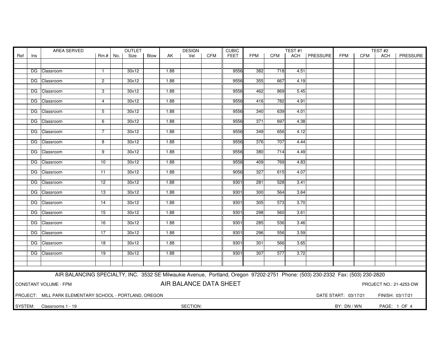|                        | AREA SERVED |                                                                                                                               |                 |  | <b>OUTLET</b> |      |      | <b>DESIGN</b>          | <b>CUBIC</b> |      |            | TEST <sub>#1</sub> |      |                |                      | TEST#2     |                  |                         |
|------------------------|-------------|-------------------------------------------------------------------------------------------------------------------------------|-----------------|--|---------------|------|------|------------------------|--------------|------|------------|--------------------|------|----------------|----------------------|------------|------------------|-------------------------|
| Ref                    | Ins         |                                                                                                                               | $Rm.+$ No.      |  | Size          | Blow | AK   | Vel                    | <b>CFM</b>   | FEET | <b>FPM</b> | <b>CFM</b>         |      | ACH   PRESSURE | FPM                  | <b>CFM</b> | ACH              | PRESSURE                |
|                        |             |                                                                                                                               |                 |  |               |      |      |                        |              |      |            |                    |      |                |                      |            |                  |                         |
|                        |             | DG Classroom                                                                                                                  | $\mathbf{1}$    |  | 30x12         |      | 1.88 |                        |              | 9556 | 382        | 718                | 4.51 |                |                      |            |                  |                         |
|                        |             |                                                                                                                               |                 |  |               |      |      |                        |              |      |            |                    |      |                |                      |            |                  |                         |
|                        |             | DG Classroom                                                                                                                  | $\overline{2}$  |  | 30x12         |      | 1.88 |                        |              | 9556 | 355        | 667                | 4.19 |                |                      |            |                  |                         |
|                        |             |                                                                                                                               |                 |  |               |      |      |                        |              |      |            |                    |      |                |                      |            |                  |                         |
|                        |             | DG Classroom                                                                                                                  | 3               |  | 30x12         |      | 1.88 |                        |              | 9556 | 462        | 869                | 5.45 |                |                      |            |                  |                         |
|                        |             | DG Classroom                                                                                                                  | 4               |  | 30x12         |      | 1.88 |                        |              | 9556 | 416        | 782                | 4.91 |                |                      |            |                  |                         |
|                        |             |                                                                                                                               |                 |  |               |      |      |                        |              |      |            |                    |      |                |                      |            |                  |                         |
|                        |             | DG Classroom                                                                                                                  | 5               |  | 30x12         |      | 1.88 |                        |              | 9556 | 340        | 639                | 4.01 |                |                      |            |                  |                         |
|                        |             |                                                                                                                               |                 |  |               |      |      |                        |              |      |            |                    |      |                |                      |            |                  |                         |
|                        |             | DG Classroom                                                                                                                  | 6               |  | 30x12         |      | 1.88 |                        |              | 9556 | 371        | 697                | 4.38 |                |                      |            |                  |                         |
|                        |             |                                                                                                                               | $\overline{7}$  |  | 30x12         |      | 1.88 |                        |              | 9556 | 349        | 656                | 4.12 |                |                      |            |                  |                         |
|                        |             | DG Classroom                                                                                                                  |                 |  |               |      |      |                        |              |      |            |                    |      |                |                      |            |                  |                         |
|                        |             | DG Classroom                                                                                                                  | 8               |  | 30x12         |      | 1.88 |                        |              | 9556 | 376        | 707                | 4.44 |                |                      |            |                  |                         |
|                        |             |                                                                                                                               |                 |  |               |      |      |                        |              |      |            |                    |      |                |                      |            |                  |                         |
|                        |             | DG Classroom                                                                                                                  | $\overline{9}$  |  | 30x12         |      | 1.88 |                        |              | 9556 | 380        | 714                | 4.49 |                |                      |            |                  |                         |
|                        |             |                                                                                                                               |                 |  |               |      | 1.88 |                        |              | 9556 |            | 769                |      |                |                      |            |                  |                         |
|                        |             | DG Classroom                                                                                                                  | 10              |  | 30x12         |      |      |                        |              |      | 409        |                    | 4.83 |                |                      |            |                  |                         |
|                        |             | DG Classroom                                                                                                                  | 11              |  | 30x12         |      | 1.88 |                        |              | 9056 | 327        | 615                | 4.07 |                |                      |            |                  |                         |
|                        |             |                                                                                                                               |                 |  |               |      |      |                        |              |      |            |                    |      |                |                      |            |                  |                         |
|                        |             | DG Classroom                                                                                                                  | 12              |  | 30x12         |      | 1.88 |                        |              | 9301 | 281        | 528                | 3.41 |                |                      |            |                  |                         |
|                        |             |                                                                                                                               |                 |  |               |      |      |                        |              |      |            |                    |      |                |                      |            |                  |                         |
|                        |             | DG Classroom                                                                                                                  | 13              |  | 30x12         |      | 1.88 |                        |              | 9301 | 300        | 564                | 3.64 |                |                      |            |                  |                         |
|                        |             | DG Classroom                                                                                                                  | 14              |  | 30x12         |      | 1.88 |                        |              | 9301 | 305        | 573                | 3.70 |                |                      |            |                  |                         |
|                        |             |                                                                                                                               |                 |  |               |      |      |                        |              |      |            |                    |      |                |                      |            |                  |                         |
|                        |             | DG Classroom                                                                                                                  | 15              |  | 30x12         |      | 1.88 |                        |              | 9301 | 298        | 560                | 3.61 |                |                      |            |                  |                         |
|                        |             |                                                                                                                               |                 |  |               |      |      |                        |              |      |            |                    |      |                |                      |            |                  |                         |
|                        |             | DG Classroom                                                                                                                  | 16              |  | 30x12         |      | 1.88 |                        |              | 9301 | 285        | 536                | 3.46 |                |                      |            |                  |                         |
|                        |             | DG Classroom                                                                                                                  | $\overline{17}$ |  | 30x12         |      | 1.88 |                        |              | 9301 | 296        | 556                | 3.59 |                |                      |            |                  |                         |
|                        |             |                                                                                                                               |                 |  |               |      |      |                        |              |      |            |                    |      |                |                      |            |                  |                         |
|                        |             | DG Classroom                                                                                                                  | 18              |  | 30x12         |      | 1.88 |                        |              | 9301 | 301        | 566                | 3.65 |                |                      |            |                  |                         |
|                        |             |                                                                                                                               |                 |  |               |      |      |                        |              |      |            |                    |      |                |                      |            |                  |                         |
|                        |             | DG Classroom                                                                                                                  | 19              |  | 30x12         |      | 1.88 |                        |              | 9301 | 307        | 577                | 3.72 |                |                      |            |                  |                         |
|                        |             |                                                                                                                               |                 |  |               |      |      |                        |              |      |            |                    |      |                |                      |            |                  |                         |
|                        |             |                                                                                                                               |                 |  |               |      |      |                        |              |      |            |                    |      |                |                      |            |                  |                         |
|                        |             | AIR BALANCING SPECIALTY, INC. 3532 SE Milwaukie Avenue, Portland, Oregon 97202-2751 Phone: (503) 230-2332 Fax: (503) 230-2820 |                 |  |               |      |      |                        |              |      |            |                    |      |                |                      |            |                  |                         |
|                        |             |                                                                                                                               |                 |  |               |      |      |                        |              |      |            |                    |      |                |                      |            |                  |                         |
|                        |             | <b>CONSTANT VOLUME - FPM</b>                                                                                                  |                 |  |               |      |      | AIR BALANCE DATA SHEET |              |      |            |                    |      |                |                      |            |                  | PROJECT NO.: 21-4253-DW |
|                        |             |                                                                                                                               |                 |  |               |      |      |                        |              |      |            |                    |      |                |                      |            |                  |                         |
|                        |             | PROJECT: MILL PARK ELEMENTARY SCHOOL - PORTLAND, OREGON                                                                       |                 |  |               |      |      |                        |              |      |            |                    |      |                | DATE START: 03/17/21 |            | FINISH: 03/17/21 |                         |
| SYSTEM:<br>BY: DN / WN |             |                                                                                                                               |                 |  |               |      |      |                        |              |      |            |                    |      |                |                      |            |                  |                         |
|                        |             | Classrooms 1 - 19                                                                                                             |                 |  |               |      |      | SECTION:               |              |      |            |                    |      |                |                      |            |                  | PAGE: 1 OF 4            |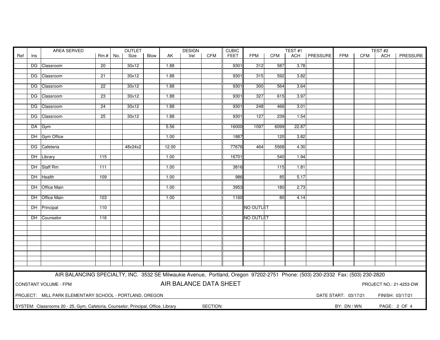|     | AREA SERVED |                                                                                                                               |                 |     | OUTLET  |      |       | <b>DESIGN</b>          |            | <b>CUBIC</b><br>TEST#1 |                  |            |       |                | TEST#2               |            |                  |                         |
|-----|-------------|-------------------------------------------------------------------------------------------------------------------------------|-----------------|-----|---------|------|-------|------------------------|------------|------------------------|------------------|------------|-------|----------------|----------------------|------------|------------------|-------------------------|
| Ref | Ins         |                                                                                                                               | Rm.#            | No. | Size    | Blow | AK    | Vel                    | <b>CFM</b> | <b>FEET</b>            | <b>FPM</b>       | <b>CFM</b> |       | ACH   PRESSURE | <b>FPM</b>           | <b>CFM</b> | <b>ACH</b>       | PRESSURE                |
|     |             |                                                                                                                               |                 |     |         |      |       |                        |            |                        |                  |            |       |                |                      |            |                  |                         |
|     |             | DG Classroom                                                                                                                  | $\overline{20}$ |     | 30x12   |      | 1.88  |                        |            | 9301                   | 312              | 587        | 3.78  |                |                      |            |                  |                         |
|     |             |                                                                                                                               |                 |     |         |      |       |                        |            |                        |                  |            |       |                |                      |            |                  |                         |
|     |             | DG Classroom                                                                                                                  | $\overline{21}$ |     | 30x12   |      | 1.88  |                        |            | 9301                   | 315              | 592        | 3.82  |                |                      |            |                  |                         |
|     |             | DG Classroom                                                                                                                  | $\overline{22}$ |     | 30x12   |      | 1.88  |                        |            | 9301                   | 300              | 564        | 3.64  |                |                      |            |                  |                         |
|     |             |                                                                                                                               |                 |     |         |      |       |                        |            |                        |                  |            |       |                |                      |            |                  |                         |
|     |             | DG Classroom                                                                                                                  | 23              |     | 30x12   |      | 1.88  |                        |            | 9301                   | 327              | 615        | 3.97  |                |                      |            |                  |                         |
|     |             |                                                                                                                               |                 |     |         |      |       |                        |            |                        |                  |            |       |                |                      |            |                  |                         |
|     |             | DG Classroom                                                                                                                  | 24              |     | 30x12   |      | 1.88  |                        |            | 9301                   | 248              | 466        | 3.01  |                |                      |            |                  |                         |
|     |             |                                                                                                                               |                 |     |         |      |       |                        |            |                        |                  |            |       |                |                      |            |                  |                         |
|     |             | DG Classroom                                                                                                                  | 25              |     | 30x12   |      | 1.88  |                        |            | 9301                   | 127              | 239        | 1.54  |                |                      |            |                  |                         |
|     |             | DA Gym                                                                                                                        |                 |     |         |      | 5.56  |                        |            | 16000                  | 1097             | 6099       | 22.87 |                |                      |            |                  |                         |
|     |             |                                                                                                                               |                 |     |         |      |       |                        |            |                        |                  |            |       |                |                      |            |                  |                         |
|     |             | DH Gym Office                                                                                                                 |                 |     |         |      | 1.00  |                        |            | 1887                   |                  | 120        | 3.82  |                |                      |            |                  |                         |
|     |             |                                                                                                                               |                 |     |         |      |       |                        |            |                        |                  |            |       |                |                      |            |                  |                         |
|     |             | DG Cafeteria                                                                                                                  |                 |     | 48x24x2 |      | 12.00 |                        |            | 77676                  | 464              | 5568       | 4.30  |                |                      |            |                  |                         |
|     |             |                                                                                                                               |                 |     |         |      |       |                        |            |                        |                  |            |       |                |                      |            |                  |                         |
|     |             | DH Library                                                                                                                    | 115             |     |         |      | 1.00  |                        |            | 16701                  |                  | 540        | 1.94  |                |                      |            |                  |                         |
|     |             |                                                                                                                               |                 |     |         |      |       |                        |            |                        |                  |            |       |                |                      |            |                  |                         |
|     |             | DH Staff Rm                                                                                                                   | 111             |     |         |      | 1.00  |                        |            | 3816                   |                  | 115        | 1.81  |                |                      |            |                  |                         |
|     |             | DH Health                                                                                                                     | 109             |     |         |      | 1.00  |                        |            | 986                    |                  | 85         | 5.17  |                |                      |            |                  |                         |
|     |             |                                                                                                                               |                 |     |         |      |       |                        |            |                        |                  |            |       |                |                      |            |                  |                         |
|     |             | DH Office Main                                                                                                                |                 |     |         |      | 1.00  |                        |            | 3953                   |                  | 180        | 2.73  |                |                      |            |                  |                         |
|     |             |                                                                                                                               |                 |     |         |      |       |                        |            |                        |                  |            |       |                |                      |            |                  |                         |
|     |             | DH Office Main                                                                                                                | 103             |     |         |      | 1.00  |                        |            | 1160                   |                  | 80         | 4.14  |                |                      |            |                  |                         |
|     |             |                                                                                                                               |                 |     |         |      |       |                        |            |                        |                  |            |       |                |                      |            |                  |                         |
|     |             | DH Principal                                                                                                                  | 110             |     |         |      |       |                        |            |                        | <b>NO OUTLET</b> |            |       |                |                      |            |                  |                         |
|     |             |                                                                                                                               |                 |     |         |      |       |                        |            |                        |                  |            |       |                |                      |            |                  |                         |
|     |             | DH Counselor                                                                                                                  | 116             |     |         |      |       |                        |            |                        | <b>NO OUTLET</b> |            |       |                |                      |            |                  |                         |
|     |             |                                                                                                                               |                 |     |         |      |       |                        |            |                        |                  |            |       |                |                      |            |                  |                         |
|     |             |                                                                                                                               |                 |     |         |      |       |                        |            |                        |                  |            |       |                |                      |            |                  |                         |
|     |             |                                                                                                                               |                 |     |         |      |       |                        |            |                        |                  |            |       |                |                      |            |                  |                         |
|     |             |                                                                                                                               |                 |     |         |      |       |                        |            |                        |                  |            |       |                |                      |            |                  |                         |
|     |             |                                                                                                                               |                 |     |         |      |       |                        |            |                        |                  |            |       |                |                      |            |                  |                         |
|     |             |                                                                                                                               |                 |     |         |      |       |                        |            |                        |                  |            |       |                |                      |            |                  |                         |
|     |             |                                                                                                                               |                 |     |         |      |       |                        |            |                        |                  |            |       |                |                      |            |                  |                         |
|     |             |                                                                                                                               |                 |     |         |      |       |                        |            |                        |                  |            |       |                |                      |            |                  |                         |
|     |             |                                                                                                                               |                 |     |         |      |       |                        |            |                        |                  |            |       |                |                      |            |                  |                         |
|     |             | AIR BALANCING SPECIALTY, INC. 3532 SE Milwaukie Avenue, Portland, Oregon 97202-2751 Phone: (503) 230-2332 Fax: (503) 230-2820 |                 |     |         |      |       |                        |            |                        |                  |            |       |                |                      |            |                  |                         |
|     |             | CONSTANT VOLUME - FPM                                                                                                         |                 |     |         |      |       | AIR BALANCE DATA SHEET |            |                        |                  |            |       |                |                      |            |                  | PROJECT NO.: 21-4253-DW |
|     |             |                                                                                                                               |                 |     |         |      |       |                        |            |                        |                  |            |       |                |                      |            |                  |                         |
|     |             | PROJECT: MILL PARK ELEMENTARY SCHOOL - PORTLAND, OREGON                                                                       |                 |     |         |      |       |                        |            |                        |                  |            |       |                | DATE START: 03/17/21 |            | FINISH: 03/17/21 |                         |
|     |             |                                                                                                                               |                 |     |         |      |       |                        |            |                        |                  |            |       |                |                      |            |                  |                         |
|     |             | SYSTEM: Classrooms 20 - 25, Gym, Cafetoria, Counselor, Principal, Office, Library                                             |                 |     |         |      |       |                        | SECTION:   |                        |                  |            |       |                | BY: DN / WN          |            |                  | PAGE: 2 OF 4            |
|     |             |                                                                                                                               |                 |     |         |      |       |                        |            |                        |                  |            |       |                |                      |            |                  |                         |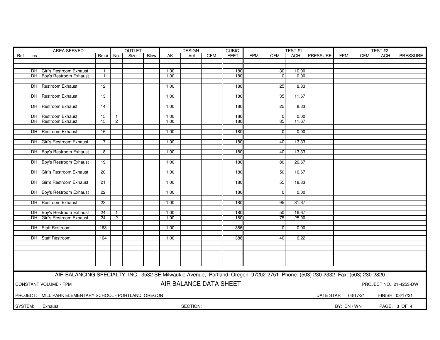|         |                                    | <b>OUTLET</b><br>AREA SERVED                                                                                                  |                 |                |      |      |      | <b>DESIGN</b>          |     | <b>CUBIC</b> |            |                      | TEST#1 |          |                      | TEST#2     |                  |                         |
|---------|------------------------------------|-------------------------------------------------------------------------------------------------------------------------------|-----------------|----------------|------|------|------|------------------------|-----|--------------|------------|----------------------|--------|----------|----------------------|------------|------------------|-------------------------|
| Ref     | Ins                                |                                                                                                                               | $Rm.+$          | No.            | Size | Blow | AK   | Vel                    | CFM | <b>FEET</b>  | <b>FPM</b> | <b>CFM</b>           | ACH    | PRESSURE | <b>FPM</b>           | <b>CFM</b> | ACH              | PRESSURE                |
|         |                                    |                                                                                                                               |                 |                |      |      |      |                        |     |              |            |                      |        |          |                      |            |                  |                         |
|         |                                    |                                                                                                                               |                 |                |      |      |      |                        |     |              |            |                      |        |          |                      |            |                  |                         |
|         |                                    | DH Girl's Restroom Exhaust                                                                                                    | 11              |                |      |      | 1.00 |                        |     | 180          |            | 30                   | 10.00  |          |                      |            |                  |                         |
|         |                                    | DH Boy's Restroom Exhaust                                                                                                     | 11              |                |      |      | 1.00 |                        |     | 180          |            | $\Omega$             | 0.00   |          |                      |            |                  |                         |
|         |                                    |                                                                                                                               |                 |                |      |      |      |                        |     |              |            |                      |        |          |                      |            |                  |                         |
|         |                                    | DH Restroom Exhaust                                                                                                           | 12              |                |      |      | 1.00 |                        |     | 180          |            | 25                   | 8.33   |          |                      |            |                  |                         |
|         |                                    |                                                                                                                               |                 |                |      |      |      |                        |     |              |            |                      |        |          |                      |            |                  |                         |
|         |                                    | DH Restroom Exhaust                                                                                                           | 13              |                |      |      | 1.00 |                        |     | 180          |            | 35                   | 11.67  |          |                      |            |                  |                         |
|         |                                    |                                                                                                                               |                 |                |      |      |      |                        |     |              |            |                      |        |          |                      |            |                  |                         |
|         |                                    | DH Restroom Exhaust                                                                                                           | 14              |                |      |      | 1.00 |                        |     | 180          |            | 25                   | 8.33   |          |                      |            |                  |                         |
|         |                                    |                                                                                                                               |                 |                |      |      |      |                        |     |              |            |                      |        |          |                      |            |                  |                         |
|         |                                    | DH Restroom Exhaust<br><b>DH</b> Restroom Exhaust                                                                             | 15              | $\mathbf{1}$   |      |      | 1.00 |                        |     | 180          |            | $\overline{0}$<br>35 | 0.00   |          |                      |            |                  |                         |
|         |                                    |                                                                                                                               | 15              | $\overline{2}$ |      |      | 1.00 |                        |     | 180          |            |                      | 11.67  |          |                      |            |                  |                         |
|         |                                    | <b>DH</b> Restroom Exhaust                                                                                                    | 16              |                |      |      | 1.00 |                        |     | 180          |            | $\Omega$             | 0.00   |          |                      |            |                  |                         |
|         |                                    |                                                                                                                               |                 |                |      |      |      |                        |     |              |            |                      |        |          |                      |            |                  |                         |
|         |                                    | DH Girl's Restroom Exhaust                                                                                                    | $\overline{17}$ |                |      |      | 1.00 |                        |     | 180          |            | 40                   | 13.33  |          |                      |            |                  |                         |
|         |                                    |                                                                                                                               |                 |                |      |      |      |                        |     |              |            |                      |        |          |                      |            |                  |                         |
|         |                                    | DH Boy's Restroom Exhaust                                                                                                     | $\overline{18}$ |                |      |      | 1.00 |                        |     | 180          |            | 40                   | 13.33  |          |                      |            |                  |                         |
|         |                                    |                                                                                                                               |                 |                |      |      |      |                        |     |              |            |                      |        |          |                      |            |                  |                         |
|         |                                    | DH Boy's Restroom Exhaust                                                                                                     | 19              |                |      |      | 1.00 |                        |     | 180          |            | 80                   | 26.67  |          |                      |            |                  |                         |
|         |                                    |                                                                                                                               |                 |                |      |      |      |                        |     |              |            |                      |        |          |                      |            |                  |                         |
|         |                                    | DH Girl's Restroom Exhaust                                                                                                    | 20              |                |      |      | 1.00 |                        |     | 180          |            | 50                   | 16.67  |          |                      |            |                  |                         |
|         |                                    |                                                                                                                               |                 |                |      |      |      |                        |     |              |            |                      |        |          |                      |            |                  |                         |
|         |                                    | DH Girl's Restroom Exhaust                                                                                                    | 21              |                |      |      | 1.00 |                        |     | 180          |            | 55                   | 18.33  |          |                      |            |                  |                         |
|         |                                    |                                                                                                                               |                 |                |      |      |      |                        |     |              |            |                      |        |          |                      |            |                  |                         |
|         |                                    | DH Boy's Restroom Exhaust                                                                                                     | 22              |                |      |      | 1.00 |                        |     | 180          |            | $\Omega$             | 0.00   |          |                      |            |                  |                         |
|         |                                    |                                                                                                                               |                 |                |      |      |      |                        |     |              |            |                      |        |          |                      |            |                  |                         |
|         |                                    | <b>DH</b> Restroom Exhaust                                                                                                    | 23              |                |      |      | 1.00 |                        |     | 180          |            | 95                   | 31.67  |          |                      |            |                  |                         |
|         |                                    |                                                                                                                               |                 |                |      |      |      |                        |     |              |            |                      |        |          |                      |            |                  |                         |
|         |                                    | DH Boy's Restroom Exhaust                                                                                                     | $\overline{24}$ | 1              |      |      | 1.00 |                        |     | 180          |            | 50                   | 16.67  |          |                      |            |                  |                         |
|         |                                    | DH Girl's Restroom Exhaust                                                                                                    | $\overline{24}$ | $\overline{2}$ |      |      | 1.00 |                        |     | 180          |            | 75                   | 25.00  |          |                      |            |                  |                         |
|         |                                    |                                                                                                                               |                 |                |      |      |      |                        |     |              |            |                      |        |          |                      |            |                  |                         |
|         |                                    | DH Staff Restroom                                                                                                             | 163             |                |      |      | 1.00 |                        |     | 386          |            | $\Omega$             | 0.00   |          |                      |            |                  |                         |
|         |                                    | DH Staff Restroom                                                                                                             | 164             |                |      |      | 1.00 |                        |     | 386          |            | 40                   | 6.22   |          |                      |            |                  |                         |
|         |                                    |                                                                                                                               |                 |                |      |      |      |                        |     |              |            |                      |        |          |                      |            |                  |                         |
|         |                                    |                                                                                                                               |                 |                |      |      |      |                        |     |              |            |                      |        |          |                      |            |                  |                         |
|         |                                    |                                                                                                                               |                 |                |      |      |      |                        |     |              |            |                      |        |          |                      |            |                  |                         |
|         |                                    |                                                                                                                               |                 |                |      |      |      |                        |     |              |            |                      |        |          |                      |            |                  |                         |
|         |                                    |                                                                                                                               |                 |                |      |      |      |                        |     |              |            |                      |        |          |                      |            |                  |                         |
|         |                                    |                                                                                                                               |                 |                |      |      |      |                        |     |              |            |                      |        |          |                      |            |                  |                         |
|         |                                    | AIR BALANCING SPECIALTY, INC. 3532 SE Milwaukie Avenue, Portland, Oregon 97202-2751 Phone: (503) 230-2332 Fax: (503) 230-2820 |                 |                |      |      |      |                        |     |              |            |                      |        |          |                      |            |                  |                         |
|         |                                    |                                                                                                                               |                 |                |      |      |      |                        |     |              |            |                      |        |          |                      |            |                  |                         |
|         |                                    | <b>CONSTANT VOLUME - FPM</b>                                                                                                  |                 |                |      |      |      | AIR BALANCE DATA SHEET |     |              |            |                      |        |          |                      |            |                  | PROJECT NO.: 21-4253-DW |
|         |                                    |                                                                                                                               |                 |                |      |      |      |                        |     |              |            |                      |        |          |                      |            |                  |                         |
|         |                                    | PROJECT: MILL PARK ELEMENTARY SCHOOL - PORTLAND, OREGON                                                                       |                 |                |      |      |      |                        |     |              |            |                      |        |          | DATE START: 03/17/21 |            | FINISH: 03/17/21 |                         |
|         |                                    |                                                                                                                               |                 |                |      |      |      |                        |     |              |            |                      |        |          |                      |            |                  |                         |
| SYSTEM: |                                    |                                                                                                                               |                 |                |      |      |      |                        |     |              |            | PAGE: 3 OF 4         |        |          |                      |            |                  |                         |
|         | SECTION:<br>BY: DN / WN<br>Exhaust |                                                                                                                               |                 |                |      |      |      |                        |     |              |            |                      |        |          |                      |            |                  |                         |